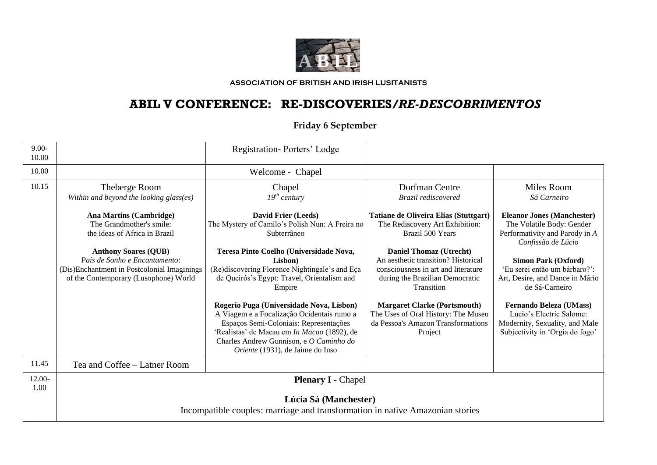

**ASSOCIATION OF BRITISH AND IRISH LUSITANISTS**

## **ABIL V CONFERENCE: RE-DISCOVERIES***/RE-DESCOBRIMENTOS*

## **Friday 6 September**

| $9.00 -$<br>10.00 |                                                                                                                                                      | Registration-Porters' Lodge                                                                                                                                                                                                                                           |                                                                                                                                                               |                                                                                                                                 |  |
|-------------------|------------------------------------------------------------------------------------------------------------------------------------------------------|-----------------------------------------------------------------------------------------------------------------------------------------------------------------------------------------------------------------------------------------------------------------------|---------------------------------------------------------------------------------------------------------------------------------------------------------------|---------------------------------------------------------------------------------------------------------------------------------|--|
| 10.00             |                                                                                                                                                      | Welcome - Chapel                                                                                                                                                                                                                                                      |                                                                                                                                                               |                                                                                                                                 |  |
| 10.15             | Theberge Room<br>Within and beyond the looking glass(es)                                                                                             | Chapel<br>$19^{th}$ century                                                                                                                                                                                                                                           | Dorfman Centre<br>Brazil rediscovered                                                                                                                         | Miles Room<br>Sá Carneiro                                                                                                       |  |
|                   | <b>Ana Martins (Cambridge)</b><br>The Grandmother's smile:<br>the ideas of Africa in Brazil                                                          | David Frier (Leeds)<br>The Mystery of Camilo's Polish Nun: A Freira no<br>Subterrâneo                                                                                                                                                                                 | Tatiane de Oliveira Elias (Stuttgart)<br>The Rediscovery Art Exhibition:<br>Brazil 500 Years                                                                  | <b>Eleanor Jones (Manchester)</b><br>The Volatile Body: Gender<br>Performativity and Parody in A<br>Confissão de Lúcio          |  |
|                   | <b>Anthony Soares (QUB)</b><br>País de Sonho e Encantamento:<br>(Dis)Enchantment in Postcolonial Imaginings<br>of the Contemporary (Lusophone) World | Teresa Pinto Coelho (Universidade Nova,<br>Lisbon)<br>(Re)discovering Florence Nightingale's and Eça<br>de Queirós's Egypt: Travel, Orientalism and<br>Empire                                                                                                         | <b>Daniel Thomaz (Utrecht)</b><br>An aesthetic transition? Historical<br>consciousness in art and literature<br>during the Brazilian Democratic<br>Transition | <b>Simon Park (Oxford)</b><br>'Eu serei então um bárbaro?':<br>Art, Desire, and Dance in Mário<br>de Sá-Carneiro                |  |
|                   |                                                                                                                                                      | Rogerio Puga (Universidade Nova, Lisbon)<br>A Viagem e a Focalização Ocidentais rumo a<br>Espaços Semi-Coloniais: Representações<br>'Realistas' de Macau em In Macao (1892), de<br>Charles Andrew Gunnison, e O Caminho do<br><i>Oriente</i> (1931), de Jaime do Inso | <b>Margaret Clarke (Portsmouth)</b><br>The Uses of Oral History: The Museu<br>da Pessoa's Amazon Transformations<br>Project                                   | <b>Fernando Beleza (UMass)</b><br>Lucio's Electric Salome:<br>Modernity, Sexuality, and Male<br>Subjectivity in 'Orgia do fogo' |  |
| 11.45             | Tea and Coffee – Latner Room                                                                                                                         |                                                                                                                                                                                                                                                                       |                                                                                                                                                               |                                                                                                                                 |  |
| $12.00 -$<br>1.00 | <b>Plenary I</b> - Chapel                                                                                                                            |                                                                                                                                                                                                                                                                       |                                                                                                                                                               |                                                                                                                                 |  |
|                   | Lúcia Sá (Manchester)<br>Incompatible couples: marriage and transformation in native Amazonian stories                                               |                                                                                                                                                                                                                                                                       |                                                                                                                                                               |                                                                                                                                 |  |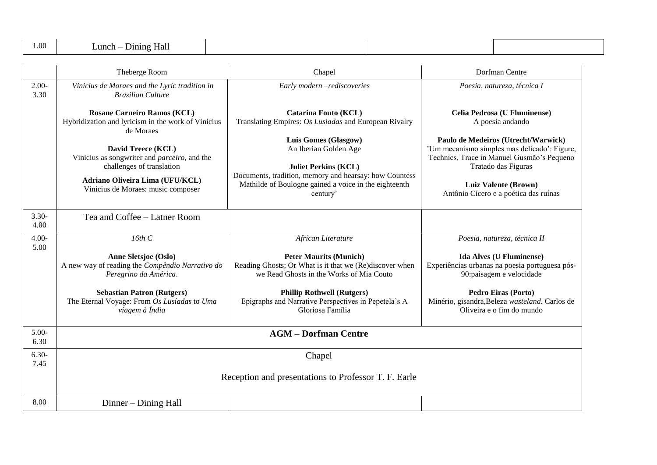| 1.00             | Lunch – Dining Hall                                                                                     |                                                                                                                                        |                                                                                                                                                          |  |  |
|------------------|---------------------------------------------------------------------------------------------------------|----------------------------------------------------------------------------------------------------------------------------------------|----------------------------------------------------------------------------------------------------------------------------------------------------------|--|--|
|                  | Theberge Room                                                                                           | Chapel                                                                                                                                 | Dorfman Centre                                                                                                                                           |  |  |
| $2.00-$<br>3.30  | Vinicius de Moraes and the Lyric tradition in<br><b>Brazilian Culture</b>                               | Early modern -rediscoveries                                                                                                            | Poesia, natureza, técnica I                                                                                                                              |  |  |
|                  | <b>Rosane Carneiro Ramos (KCL)</b><br>Hybridization and lyricism in the work of Vinicius<br>de Moraes   | Catarina Fouto (KCL)<br>Translating Empires: Os Lusiadas and European Rivalry                                                          | <b>Celia Pedrosa (U Fluminense)</b><br>A poesia andando                                                                                                  |  |  |
|                  | David Treece (KCL)<br>Vinicius as songwriter and <i>parceiro</i> , and the<br>challenges of translation | Luis Gomes (Glasgow)<br>An Iberian Golden Age<br><b>Juliet Perkins (KCL)</b><br>Documents, tradition, memory and hearsay: how Countess | Paulo de Medeiros (Utrecht/Warwick)<br>'Um mecanismo simples mas delicado': Figure,<br>Technics, Trace in Manuel Gusmão's Pequeno<br>Tratado das Figuras |  |  |
|                  | Adriano Oliveira Lima (UFU/KCL)<br>Vinicius de Moraes: music composer                                   | Mathilde of Boulogne gained a voice in the eighteenth<br>century'                                                                      | <b>Luiz Valente (Brown)</b><br>Antônio Cícero e a poética das ruínas                                                                                     |  |  |
| $3.30 -$<br>4.00 | Tea and Coffee – Latner Room                                                                            |                                                                                                                                        |                                                                                                                                                          |  |  |
| $4.00 -$<br>5.00 | 16th C                                                                                                  | African Literature                                                                                                                     | Poesia, natureza, técnica II                                                                                                                             |  |  |
|                  | <b>Anne Sletsjoe (Oslo)</b><br>A new way of reading the Compêndio Narrativo do<br>Peregrino da América. | <b>Peter Maurits (Munich)</b><br>Reading Ghosts; Or What is it that we (Re)discover when<br>we Read Ghosts in the Works of Mia Couto   | <b>Ida Alves (U Fluminense)</b><br>Experiências urbanas na poesia portuguesa pós-<br>90:paisagem e velocidade                                            |  |  |
|                  | <b>Sebastian Patron (Rutgers)</b><br>The Eternal Voyage: From Os Lusíadas to Uma<br>viagem à Índia      | <b>Phillip Rothwell (Rutgers)</b><br>Epigraphs and Narrative Perspectives in Pepetela's A<br>Gloriosa Família                          | <b>Pedro Eiras (Porto)</b><br>Minério, gisandra, Beleza wasteland. Carlos de<br>Oliveira e o fim do mundo                                                |  |  |
| $5.00-$<br>6.30  | <b>AGM - Dorfman Centre</b>                                                                             |                                                                                                                                        |                                                                                                                                                          |  |  |
| $6.30-$<br>7.45  | Chapel                                                                                                  |                                                                                                                                        |                                                                                                                                                          |  |  |
|                  | Reception and presentations to Professor T. F. Earle                                                    |                                                                                                                                        |                                                                                                                                                          |  |  |
| 8.00             | Dinner – Dining Hall                                                                                    |                                                                                                                                        |                                                                                                                                                          |  |  |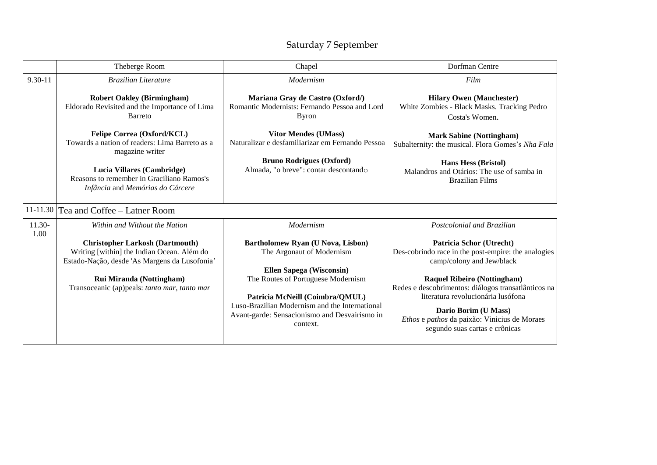## Saturday 7 September

|                                          | Theberge Room                                                                                                                                                                                                     | Chapel                                                                                                                                                                                                                                                                                    | Dorfman Centre                                                                                                                                                                                                                                                                                                                                                   |  |  |
|------------------------------------------|-------------------------------------------------------------------------------------------------------------------------------------------------------------------------------------------------------------------|-------------------------------------------------------------------------------------------------------------------------------------------------------------------------------------------------------------------------------------------------------------------------------------------|------------------------------------------------------------------------------------------------------------------------------------------------------------------------------------------------------------------------------------------------------------------------------------------------------------------------------------------------------------------|--|--|
| $9.30 - 11$                              | <b>Brazilian Literature</b>                                                                                                                                                                                       | Modernism                                                                                                                                                                                                                                                                                 | Film                                                                                                                                                                                                                                                                                                                                                             |  |  |
|                                          | <b>Robert Oakley (Birmingham)</b><br>Eldorado Revisited and the Importance of Lima<br><b>Barreto</b>                                                                                                              | Mariana Gray de Castro (Oxford/)<br>Romantic Modernists: Fernando Pessoa and Lord<br><b>Byron</b>                                                                                                                                                                                         | <b>Hilary Owen (Manchester)</b><br>White Zombies - Black Masks. Tracking Pedro<br>Costa's Women.                                                                                                                                                                                                                                                                 |  |  |
|                                          | Felipe Correa (Oxford/KCL)<br>Towards a nation of readers: Lima Barreto as a<br>magazine writer                                                                                                                   | <b>Vitor Mendes (UMass)</b><br>Naturalizar e desfamiliarizar em Fernando Pessoa                                                                                                                                                                                                           | <b>Mark Sabine (Nottingham)</b><br>Subalternity: the musical. Flora Gomes's Nha Fala                                                                                                                                                                                                                                                                             |  |  |
|                                          | Lucia Villares (Cambridge)<br>Reasons to remember in Graciliano Ramos's<br>Infância and Memórias do Cárcere                                                                                                       | <b>Bruno Rodrigues (Oxford)</b><br>Almada, "o breve": contar descontando                                                                                                                                                                                                                  | <b>Hans Hess (Bristol)</b><br>Malandros and Otários: The use of samba in<br><b>Brazilian Films</b>                                                                                                                                                                                                                                                               |  |  |
| 11-11.30<br>Tea and Coffee – Latner Room |                                                                                                                                                                                                                   |                                                                                                                                                                                                                                                                                           |                                                                                                                                                                                                                                                                                                                                                                  |  |  |
| $11.30-$<br>1.00                         | Within and Without the Nation                                                                                                                                                                                     | Modernism                                                                                                                                                                                                                                                                                 | Postcolonial and Brazilian                                                                                                                                                                                                                                                                                                                                       |  |  |
|                                          | <b>Christopher Larkosh (Dartmouth)</b><br>Writing [within] the Indian Ocean. Além do<br>Estado-Nação, desde 'As Margens da Lusofonia'<br>Rui Miranda (Nottingham)<br>Transoceanic (ap)peals: tanto mar, tanto mar | Bartholomew Ryan (U Nova, Lisbon)<br>The Argonaut of Modernism<br><b>Ellen Sapega (Wisconsin)</b><br>The Routes of Portuguese Modernism<br>Patricia McNeill (Coimbra/QMUL)<br>Luso-Brazilian Modernism and the International<br>Avant-garde: Sensacionismo and Desvairismo in<br>context. | <b>Patricia Schor (Utrecht)</b><br>Des-cobrindo race in the post-empire: the analogies<br>camp/colony and Jew/black<br><b>Raquel Ribeiro (Nottingham)</b><br>Redes e descobrimentos: diálogos transatlânticos na<br>literatura revolucionária lusófona<br>Dario Borim (U Mass)<br>Ethos e pathos da paixão: Vinicius de Moraes<br>segundo suas cartas e crônicas |  |  |